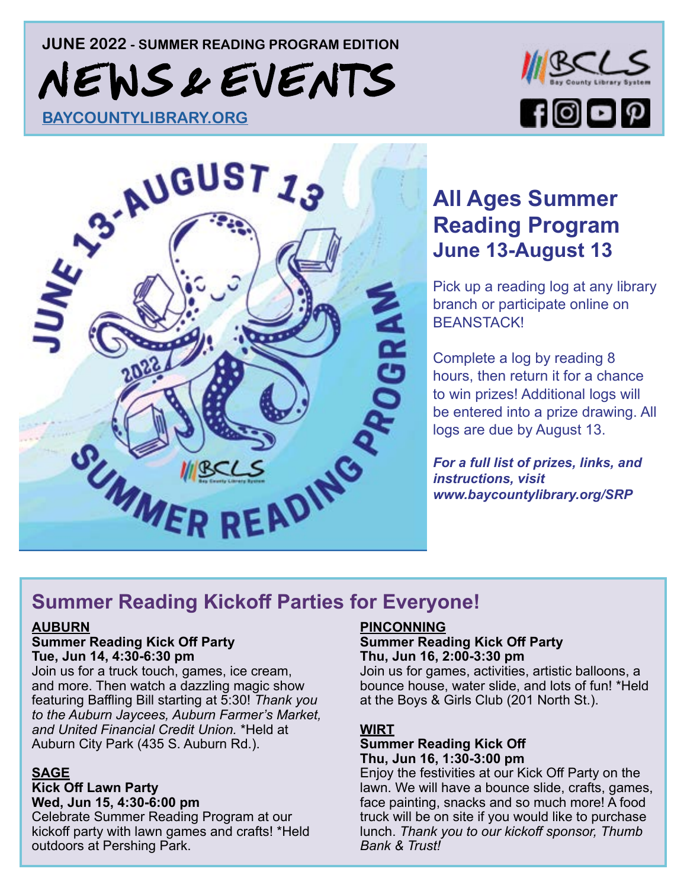## **JUNE 2022 - SUMMER READING PROGRAM EDITION**  N EWS & EVENTS





## **[All Ages Summer](https://www.baycountylibrary.org/SRP)  Reading Program June 13-August 13**

Pick up a reading log at any library branch or participate online on BEANSTACK!

Complete a log by reading 8 hours, then return it for a chance to win prizes! Additional logs will be entered into a prize drawing. All logs are due by August 13.

*For a full list of prizes, links, and instructions, visit www.baycountylibrary.org/SRP*

## **Summer Reading Kickoff Parties for Everyone!**

#### **AUBURN**

#### **Summer Reading Kick Off Party Tue, Jun 14, 4:30-6:30 pm**

Join us for a truck touch, games, ice cream, and more. Then watch a dazzling magic show featuring Baffling Bill starting at 5:30! *Thank you to the Auburn Jaycees, Auburn Farmer's Market, and United Financial Credit Union.* \*Held at Auburn City Park (435 S. Auburn Rd.).

#### **SAGE**

#### **Kick Off Lawn Party**

**Wed, Jun 15, 4:30-6:00 pm**

Celebrate Summer Reading Program at our kickoff party with lawn games and crafts! \*Held outdoors at Pershing Park.

#### **PINCONNING**

#### **Summer Reading Kick Off Party Thu, Jun 16, 2:00-3:30 pm**

Join us for games, activities, artistic balloons, a bounce house, water slide, and lots of fun! \*Held at the Boys & Girls Club (201 North St.).

#### **WIRT**

#### **Summer Reading Kick Off Thu, Jun 16, 1:30-3:00 pm**

Enjoy the festivities at our Kick Off Party on the [lawn. We will have a bounce slide, crafts, games,](https://www.baycountylibrary.org/events/month/2022/06?keywords=kick)  face painting, snacks and so much more! A food truck will be on site if you would like to purchase lunch. *Thank you to our kickoff sponsor, Thumb Bank & Trust!*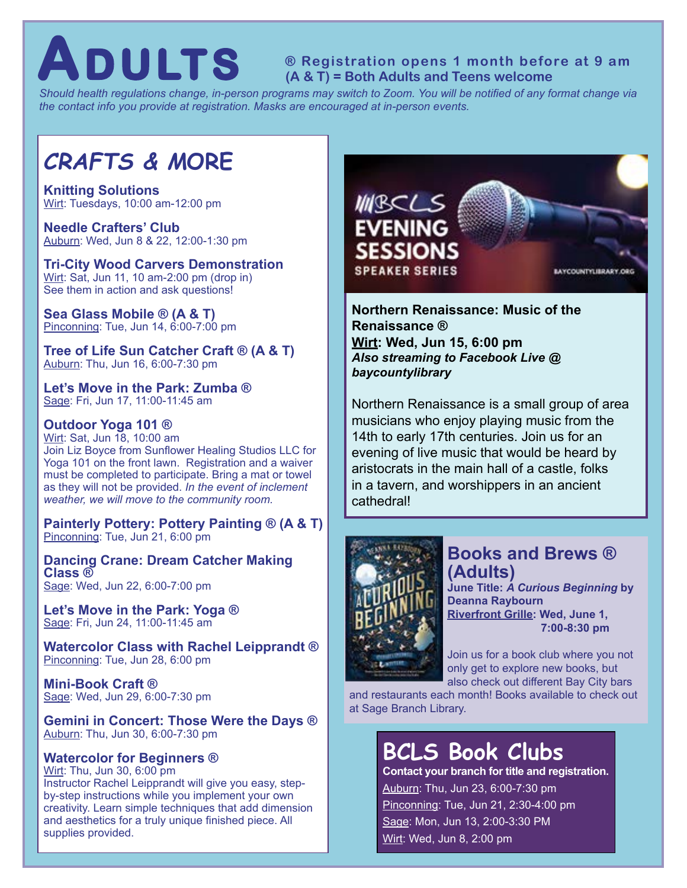**ADULTS Registration opens 1 month before at 9 am Addults and Teens welcome** 

*Should health regulations change, in-person programs may switch to Zoom. You will be notified of any format change via the contact info you provide at registration. Masks are encouraged at in-person events.*

## *CRAFTS & M***ORE**

**Knitting Solutions** Wirt: Tuesdays, 10:00 am-12:00 pm

**Needle Crafters' Club** Auburn: Wed, Jun 8 & 22, 12:00-1:30 pm

#### **Tri-City Wood Carvers Demonstration** Wirt: Sat, Jun 11, 10 am-2:00 pm (drop in) See them in action and ask questions!

**Sea Glass Mobile ® (A & T)** Pinconning: Tue, Jun 14, 6:00-7:00 pm

**Tree of Life Sun Catcher Craft ® (A & T)** Auburn: Thu, Jun 16, 6:00-7:30 pm

**Let's Move in the Park: Zumba ®** Sage: Fri, Jun 17, 11:00-11:45 am

#### **Outdoor Yoga 101 ®**

Wirt: Sat, Jun 18, 10:00 am Join Liz Boyce from Sunflower Healing Studios LLC for Yoga 101 on the front lawn. Registration and a waiver must be completed to participate. Bring a mat or towel as they will not be provided. *In the event of inclement weather, we will move to the community room.*

**[Painterly Pottery: Pottery Painting ® \(A & T\)](https://www.baycountylibrary.org/events/month/2022/06?bundles%5Blc_event%5D=lc_event&age_groups%5B47%5D=47&age_groups%5B46%5D=46&program_types%5B34%5D=34&program_types%5B91%5D=91&program_types%5B93%5D=93&program_types%5B94%5D=94&program_types%5B38%5D=38&program_types%5B41%5D=41)** Pinconning: Tue, Jun 21, 6:00 pm

**Dancing Crane: Dream Catcher Making Class ®** Sage: Wed, Jun 22, 6:00-7:00 pm

**Let's Move in the Park: Yoga ®** Sage: Fri, Jun 24, 11:00-11:45 am

**Watercolor Class with Rachel Leipprandt ®** Pinconning: Tue, Jun 28, 6:00 pm

**Mini-Book Craft ®** Sage: Wed, Jun 29, 6:00-7:30 pm

**Gemini in Concert: Those Were the Days ®** Auburn: Thu, Jun 30, 6:00-7:30 pm

#### **Watercolor for Beginners ®**

Wirt: Thu, Jun 30, 6:00 pm Instructor Rachel Leipprandt will give you easy, stepby-step instructions while you implement your own creativity. Learn simple techniques that add dimension and aesthetics for a truly unique finished piece. All supplies provided.



**Northern Renaissance: Music of the Renaissance ® Wirt: Wed, Jun 15, 6:00 pm** *Also streaming to Facebook Live @ baycountylibrary*

[Northern Renaissance is a small group of area](https://www.baycountylibrary.org/event/evening-sessions-northern-renaissance-music-renaissance)  musicians who enjoy playing music from the 14th to early 17th centuries. Join us for an evening of live music that would be heard by aristocrats in the main hall of a castle, folks in a tavern, and worshippers in an ancient cathedral!



#### **Books and Brews ® (Adults)**

**June Title:** *A Curious Beginning* **by Deanna Raybourn Riverfront Grille: Wed, June 1, 7:00-8:30 pm**

Join us for a book club where you not only get to explore new books, but also check out different Bay City bars

[and restaurants each month! Books available to check out](https://www.baycountylibrary.org/event/books-brews-1)  at Sage Branch Library.

## **[BCLS Book Clubs](https://www.baycountylibrary.org/events/month/2022/06?age_groups%5B46%5D=46&program_types%5B35%5D=35)**

**Contact your branch for title and registration.**  Auburn: Thu, Jun 23, 6:00-7:30 pm Pinconning: Tue, Jun 21, 2:30-4:00 pm Sage: Mon, Jun 13, 2:00-3:30 PM Wirt: Wed, Jun 8, 2:00 pm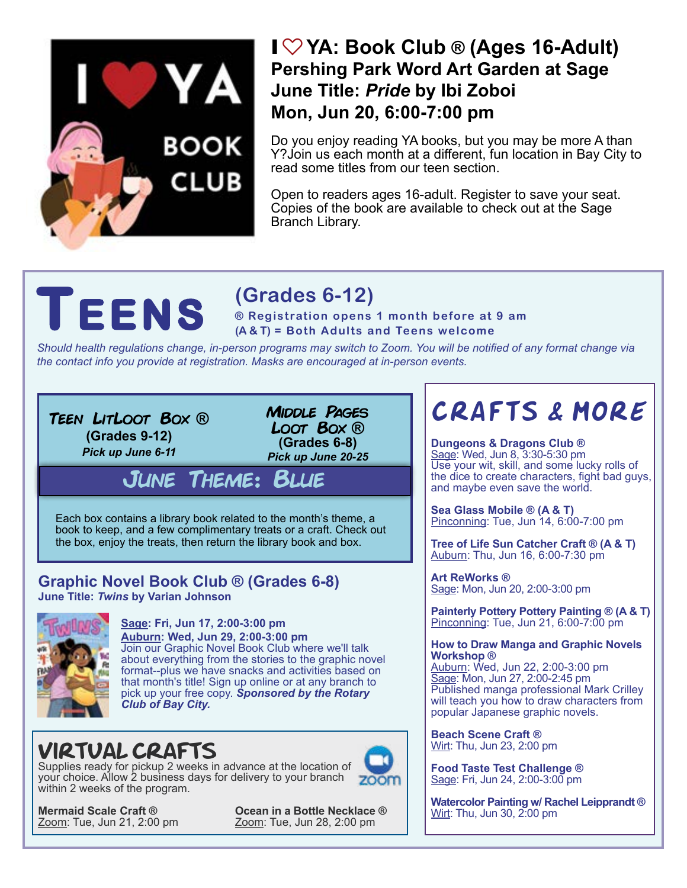# YA BOOK **CLUB**

### I♡**[YA: Book Club ® \(Ages 16-Adult\)](https://www.baycountylibrary.org/event/i-ya-book-club) Pershing Park Word Art Garden at Sage June Title:** *Pride* **by Ibi Zoboi Mon, Jun 20, 6:00-7:00 pm**

Do you enjoy reading YA books, but you may be more A than Y?Join us each month at a different, fun location in Bay City to read some titles from our teen section.

Open to readers ages 16-adult. Register to save your seat. Copies of the book are available to check out at the Sage Branch Library.

### **(Grades 6-12)**

**FENS** (Grades 6-12)<br> **FENS @** Registration opens 1 month before at 9 am<br>
(A&T) = Both Adults and Teens welcome

*Should health regulations change, in-person programs may switch to Zoom. You will be notified of any format change via the contact info you provide at registration. Masks are encouraged at in-person events.*

Teen LitLoot Box **® (Grades 9-12)** *Pick up June 6-11*

Middle Pages Loot Box **® (Grades 6-8)** *Pick up June 20-25*

[June Theme: Blue](https://www.baycountylibrary.org/events/month/2022/06?keywords=loot&age_groups%5B45%5D=45)

Each box contains a library book related to the month's theme, a book to keep, and a few complimentary treats or a craft. Check out the box, enjoy the treats, then return the library book and box.

#### **[Graphic Novel Book Club ® \(Grades 6-8\)](https://www.baycountylibrary.org/events/month/2022/06?keywords=graphic%20novel&age_groups%5B249%5D=249&age_groups%5B45%5D=45) June Title:** *Twins* **by Varian Johnson**



**Sage: Fri, Jun 17, 2:00-3:00 pm Auburn: Wed, Jun 29, 2:00-3:00 pm**  Join our Graphic Novel Book Club where we'll talk about everything from the stories to the graphic novel format--plus we have snacks and activities based on that month's title! Sign up online or at any branch to pick up your free copy. *Sponsored by the Rotary* 

*Club of Bay City.*

## [VIRTUAL CRAFTS](https://www.baycountylibrary.org/events/month/2022/06?age_groups%5B45%5D=45&program_types%5B34%5D=34&branches%5B255%5D=255)

Supplies ready for pickup 2 weeks in advance at the location of your choice. Allow 2 business days for delivery to your branch within 2 weeks of the program.



**Mermaid Scale Craft ® 6 Coean in a Bottle Necklace ®** *Doom***: Tue, Jun 28, 2:00 pm** Zoom: Tue, Jun 28, 2:00 pm

## [CRAFTS & MORE](https://www.baycountylibrary.org/events/month/2022/06?age_groups%5B45%5D=45&program_types%5B34%5D=34&program_types%5B94%5D=94&program_types%5B41%5D=41&branches%5B133%5D=133&branches%5B130%5D=130&branches%5B131%5D=131&branches%5B132%5D=132)

**Dungeons & Dragons Club ®** Sage: Wed, Jun 8, 3:30-5:30 pm Use your wit, skill, and some lucky rolls of the dice to create characters, fight bad guys, and maybe even save the world.

**Sea Glass Mobile ® (A & T)** Pinconning: Tue, Jun 14, 6:00-7:00 pm

**Tree of Life Sun Catcher Craft ® (A & T)** Auburn: Thu, Jun 16, 6:00-7:30 pm

**Art ReWorks ®** Sage: Mon, Jun 20, 2:00-3:00 pm

**Painterly Pottery Pottery Painting ® (A & T)** Pinconning: Tue, Jun 21, 6:00-7:00 pm

#### **How to Draw Manga and Graphic Novels Workshop ®**

Auburn: Wed, Jun 22, 2:00-3:00 pm Sage: Mon, Jun 27, 2:00-2:45 pm Published manga professional Mark Crilley will teach you how to draw characters from popular Japanese graphic novels.

**Beach Scene Craft ®** Wirt: Thu, Jun 23, 2:00 pm

**Food Taste Test Challenge ®** Sage: Fri, Jun 24, 2:00-3:00 pm

**Watercolor Painting w/ Rachel Leipprandt ®** Wirt: Thu, Jun 30, 2:00 pm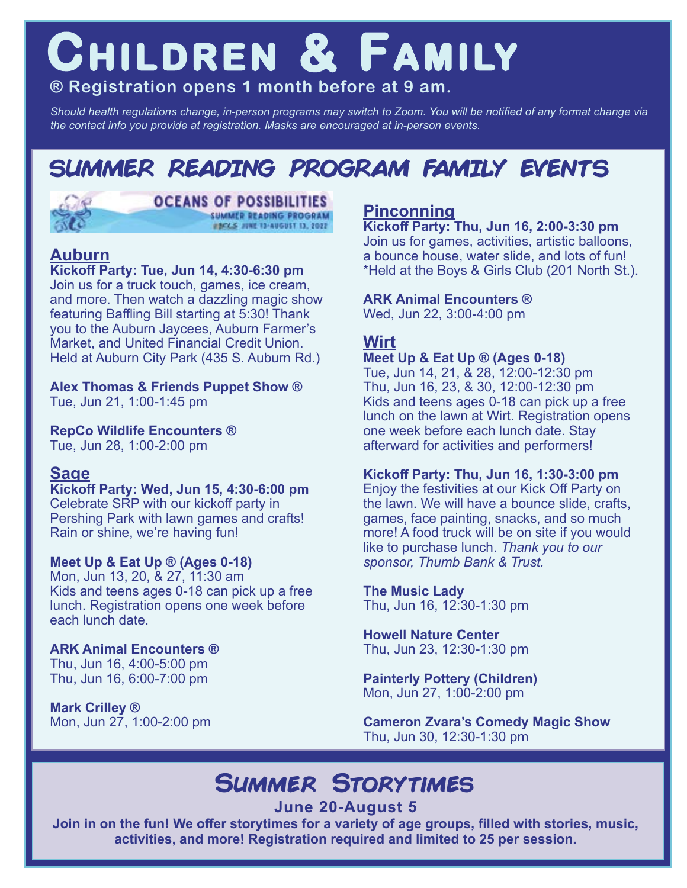## **CHILDREN & FAMILY**

#### **® Registration opens 1 month before at 9 am.**

*Should health regulations change, in-person programs may switch to Zoom. You will be notified of any format change via the contact info you provide at registration. Masks are encouraged at in-person events.*

## **SUMMER READING PROGRAM FAMILY EVENTS**



#### **OCEANS OF POSSIBILITIES** SUMMER READING PROGRAM #BCCS JUNE 13-AUGUST 13, 2022

#### **Auburn**

#### **Kickoff Party: Tue, Jun 14, 4:30-6:30 pm**

Join us for a truck touch, games, ice cream, [and more. Then watch a dazzling magic show](https://www.baycountylibrary.org/events/month/2022/06?age_groups%5B47%5D=47&age_groups%5B241%5D=241&age_groups%5B43%5D=43&age_groups%5B44%5D=44&program_types%5B34%5D=34&program_types%5B91%5D=91&program_types%5B92%5D=92&program_types%5B93%5D=93&program_types%5B94%5D=94&program_types%5B38%5D=38&program_types%5B41%5D=41)  featuring Baffling Bill starting at 5:30! Thank you to the Auburn Jaycees, Auburn Farmer's Market, and United Financial Credit Union. Held at Auburn City Park (435 S. Auburn Rd.)

**Alex Thomas & Friends Puppet Show ®**

Tue, Jun 21, 1:00-1:45 pm

**RepCo Wildlife Encounters ®** Tue, Jun 28, 1:00-2:00 pm

#### **Sage**

**Kickoff Party: Wed, Jun 15, 4:30-6:00 pm**  Celebrate SRP with our kickoff party in Pershing Park with lawn games and crafts! Rain or shine, we're having fun!

#### **Meet Up & Eat Up ® (Ages 0-18)**

Mon, Jun 13, 20, & 27, 11:30 am Kids and teens ages 0-18 can pick up a free lunch. Registration opens one week before each lunch date.

#### **ARK Animal Encounters ®**

Thu, Jun 16, 4:00-5:00 pm Thu, Jun 16, 6:00-7:00 pm

**Mark Crilley ®** Mon, Jun 27, 1:00-2:00 pm

#### **Pinconning**

**Kickoff Party: Thu, Jun 16, 2:00-3:30 pm**  Join us for games, activities, artistic balloons, a bounce house, water slide, and lots of fun! \*Held at the Boys & Girls Club (201 North St.).

#### **ARK Animal Encounters ®**

Wed, Jun 22, 3:00-4:00 pm

#### **Wirt**

#### **Meet Up & Eat Up ® (Ages 0-18)**

Tue, Jun 14, 21, & 28, 12:00-12:30 pm Thu, Jun 16, 23, & 30, 12:00-12:30 pm Kids and teens ages 0-18 can pick up a free lunch on the lawn at Wirt. Registration opens one week before each lunch date. Stay afterward for activities and performers!

#### **Kickoff Party: Thu, Jun 16, 1:30-3:00 pm**

Enjoy the festivities at our Kick Off Party on the lawn. We will have a bounce slide, crafts, games, face painting, snacks, and so much more! A food truck will be on site if you would like to purchase lunch. *Thank you to our sponsor, Thumb Bank & Trust.*

#### **The Music Lady**

Thu, Jun 16, 12:30-1:30 pm

#### **Howell Nature Center** Thu, Jun 23, 12:30-1:30 pm

**Painterly Pottery (Children)** Mon, Jun 27, 1:00-2:00 pm

**Cameron Zvara's Comedy Magic Show** Thu, Jun 30, 12:30-1:30 pm

## **Summer Storytimes**

**June 20-August 5** 

**[Join in on the fun! We offer storytimes for a variety of age groups, filled with stories, music,](https://www.baycountylibrary.org/events/month/2022/06?keywords=storytime&age_groups%5B241%5D=241&age_groups%5B43%5D=43&age_groups%5B44%5D=44&program_types%5B39%5D=39)  activities, and more! Registration required and limited to 25 per session.**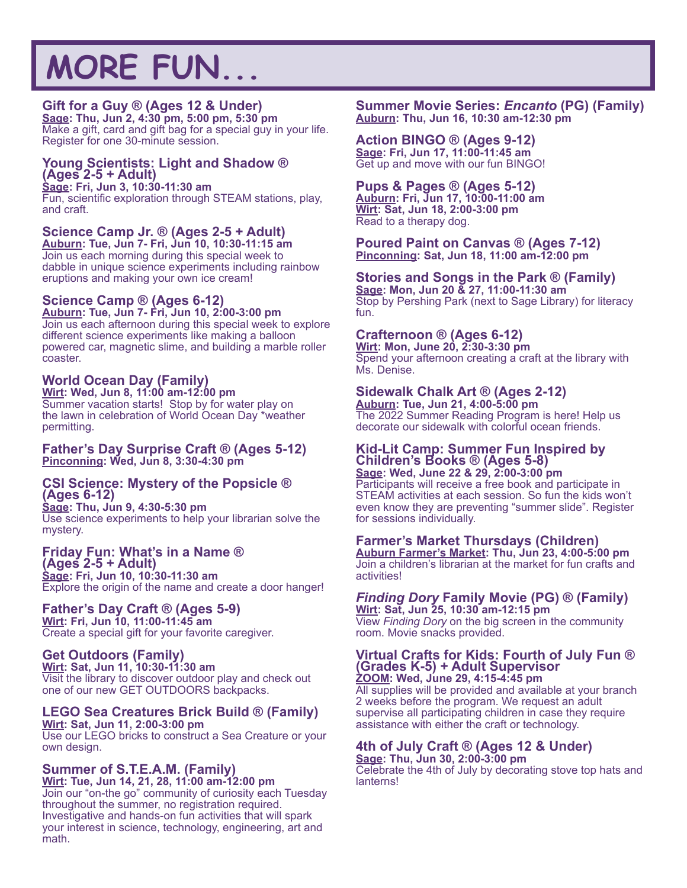## **MORE FUN...**

#### **Gift for a Guy ® (Ages 12 & Under)**

**Sage: Thu, Jun 2, 4:30 pm, 5:00 pm, 5:30 pm** Make a gift, card and gift bag for a special guy in your life. Register for one 30-minute session.

#### **Young Scientists: Light and Shadow ® (Ages 2-5 + Adult)**

**Sage: Fri, Jun 3, 10:30-11:30 am** 

Fun, scientific exploration through STEAM stations, play, and craft.

#### **Science Camp Jr. ® (Ages 2-5 + Adult)**

**Auburn: Tue, Jun 7- Fri, Jun 10, 10:30-11:15 am** Join us each morning during this special week to dabble in unique science experiments including rainbow eruptions and making your own ice cream!

#### **Science Camp ® (Ages 6-12)**

**Auburn: Tue, Jun 7- Fri, Jun 10, 2:00-3:00 pm**  Join us each afternoon during this special week to explore different science experiments like making a balloon powered car, magnetic slime, and building a marble roller coaster.

#### **World Ocean Day (Family)**

**Wirt: Wed, Jun 8, 11:00 am-12:00 pm** Summer vacation starts! Stop by for water play on the lawn in celebration of World Ocean Day \*weather permitting.

#### **Father's Day Surprise Craft ® (Ages 5-12) Pinconning: Wed, Jun 8, 3:30-4:30 pm**

#### **CSI Science: Mystery of the Popsicle ® (Ages 6-12)**

**Sage: Thu, Jun 9, 4:30-5:30 pm** Use science experiments to help your librarian solve the mystery.

#### **Friday Fun: What's in a Name ®**

**(Ages 2-5 + Adult) Sage: Fri, Jun 10, 10:30-11:30 am**  Explore the origin of the name and create a door hanger!

#### **Father's Day Craft ® (Ages 5-9) Wirt: Fri, Jun 10, 11:00-11:45 am**

Create a special gift for your favorite caregiver.

#### **Get Outdoors (Family)**

**Wirt: Sat, Jun 11, 10:30-11:30 am** Visit the library to discover outdoor play and check out one of our new GET OUTDOORS backpacks.

#### **LEGO Sea Creatures Brick Build ® (Family)**

**Wirt: Sat, Jun 11, 2:00-3:00 pm** Use our LEGO bricks to construct a Sea Creature or your own design.

#### **Summer of S.T.E.A.M. (Family)**

**Wirt: Tue, Jun 14, 21, 28, 11:00 am-12:00 pm** Join our "on-the go" community of curiosity each Tuesday throughout the summer, no registration required. Investigative and hands-on fun activities that will spark your interest in science, technology, engineering, art and math.

#### **Summer Movie Series:** *Encanto* **(PG) (Family) Auburn: Thu, Jun 16, 10:30 am-12:30 pm**

**Action BINGO ® (Ages 9-12) Sage: Fri, Jun 17, 11:00-11:45 am**  Get up and move with our fun BINGO!

#### **Pups & Pages ® (Ages 5-12)**

**Auburn: Fri, Jun 17, 10:00-11:00 am Wirt: Sat, Jun 18, 2:00-3:00 pm** Read to a therapy dog.

**Poured Paint on Canvas ® (Ages 7-12) Pinconning: Sat, Jun 18, 11:00 am-12:00 pm** 

#### **Stories and Songs in the Park ® (Family)**

**Sage: Mon, Jun 20 & 27, 11:00-11:30 am** Stop by Pershing Park (next to Sage Library) for literacy fun.

#### **Crafternoon ® (Ages 6-12)**

**Wirt: Mon, June 20, 2:30-3:30 pm** Spend your afternoon creating a craft at the library with Ms. Denise.

#### **Sidewalk Chalk Art ® (Ages 2-12)**

**Auburn: Tue, Jun 21, 4:00-5:00 pm**  The 2022 Summer Reading Program is here! Help us decorate our sidewalk with colorful ocean friends.

#### **Kid-Lit Camp: Summer Fun Inspired by Children's Books ® (Ages 5-8)**

**Sage: Wed, June 22 & 29, 2:00-3:00 pm**  Participants will receive a free book and participate in STEAM activities at each session. So fun the kids won't even know they are preventing "summer slide". Register for sessions individually.

#### **Farmer's Market Thursdays (Children)**

**Auburn Farmer's Market: Thu, Jun 23, 4:00-5:00 pm**  Join a children's librarian at the market for fun crafts and activities!

#### *Finding Dory* **Family Movie (PG) ® (Family)**

**Wirt: Sat, Jun 25, 10:30 am-12:15 pm** View *Finding Dory* on the big screen in the community room. Movie snacks provided.

#### **[Virtual Crafts for Kids: Fourth of July Fun ®](https://www.baycountylibrary.org/events/month/2022/06?age_groups%5B47%5D=47&age_groups%5B241%5D=241&age_groups%5B43%5D=43&age_groups%5B44%5D=44)  (Grades K-5) + Adult Supervisor**

**ZOOM: Wed, June 29, 4:15-4:45 pm** All supplies will be provided and available at your branch 2 weeks before the program. We request an adult supervise all participating children in case they require assistance with either the craft or technology.

#### **4th of July Craft ® (Ages 12 & Under)**

**Sage: Thu, Jun 30, 2:00-3:00 pm**

Celebrate the 4th of July by decorating stove top hats and lanterns!